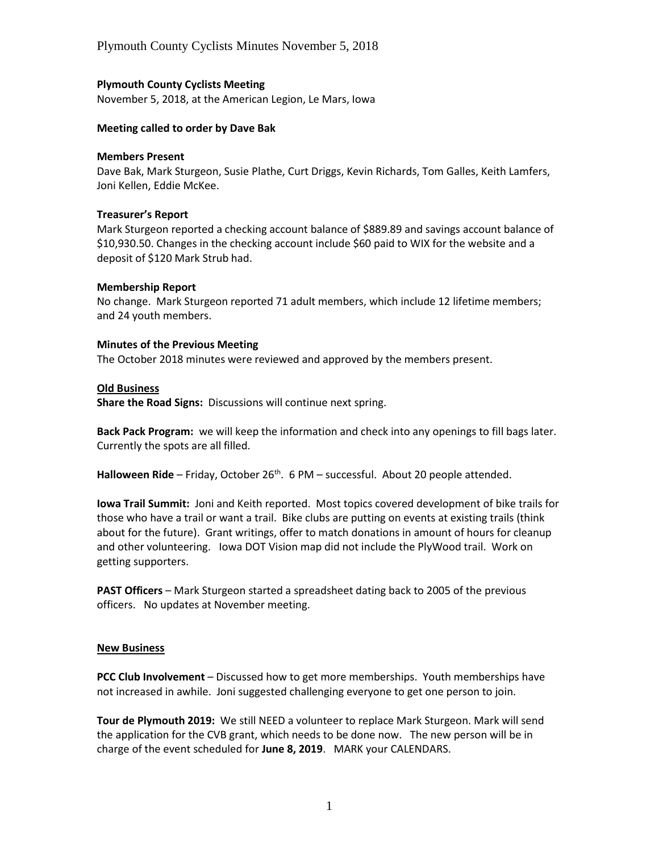# **Plymouth County Cyclists Meeting**

November 5, 2018, at the American Legion, Le Mars, Iowa

### **Meeting called to order by Dave Bak**

#### **Members Present**

Dave Bak, Mark Sturgeon, Susie Plathe, Curt Driggs, Kevin Richards, Tom Galles, Keith Lamfers, Joni Kellen, Eddie McKee.

#### **Treasurer's Report**

Mark Sturgeon reported a checking account balance of \$889.89 and savings account balance of \$10,930.50. Changes in the checking account include \$60 paid to WIX for the website and a deposit of \$120 Mark Strub had.

#### **Membership Report**

No change. Mark Sturgeon reported 71 adult members, which include 12 lifetime members; and 24 youth members.

#### **Minutes of the Previous Meeting**

The October 2018 minutes were reviewed and approved by the members present.

## **Old Business**

**Share the Road Signs:** Discussions will continue next spring.

**Back Pack Program:** we will keep the information and check into any openings to fill bags later. Currently the spots are all filled.

Halloween Ride - Friday, October 26<sup>th</sup>. 6 PM - successful. About 20 people attended.

**Iowa Trail Summit:** Joni and Keith reported. Most topics covered development of bike trails for those who have a trail or want a trail. Bike clubs are putting on events at existing trails (think about for the future). Grant writings, offer to match donations in amount of hours for cleanup and other volunteering. Iowa DOT Vision map did not include the PlyWood trail. Work on getting supporters.

**PAST Officers** – Mark Sturgeon started a spreadsheet dating back to 2005 of the previous officers. No updates at November meeting.

## **New Business**

**PCC Club Involvement** – Discussed how to get more memberships. Youth memberships have not increased in awhile. Joni suggested challenging everyone to get one person to join.

**Tour de Plymouth 2019:** We still NEED a volunteer to replace Mark Sturgeon. Mark will send the application for the CVB grant, which needs to be done now. The new person will be in charge of the event scheduled for **June 8, 2019**. MARK your CALENDARS.